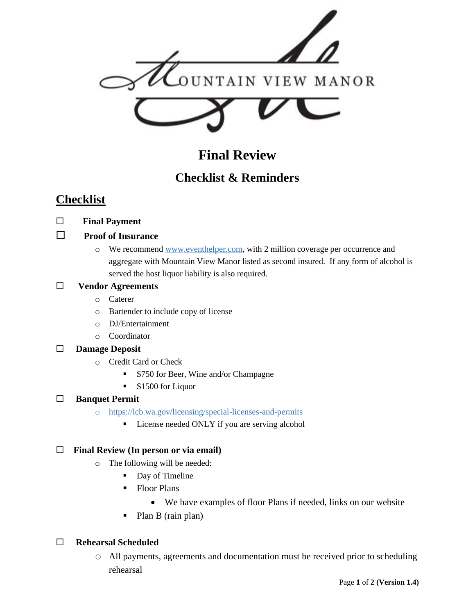

# **Final Review**

# **Checklist & Reminders**

## **Checklist**

 **Final Payment**

### **Proof of Insurance**

o We recommend [www.eventhelper.com,](http://www.eventhelper.com/) with 2 million coverage per occurrence and aggregate with Mountain View Manor listed as second insured. If any form of alcohol is served the host liquor liability is also required.

### **Vendor Agreements**

- o Caterer
- o Bartender to include copy of license
- o DJ/Entertainment
- o Coordinator

### **Damage Deposit**

- o Credit Card or Check
	- \$750 for Beer, Wine and/or Champagne
	- \$1500 for Liquor

### **Banquet Permit**

- o <https://lcb.wa.gov/licensing/special-licenses-and-permits>
	- **EXECUTE:** License needed ONLY if you are serving alcohol

#### **Final Review (In person or via email)**

- o The following will be needed:
	- Day of Timeline
	- Floor Plans
		- We have examples of floor Plans if needed, links on our website
	- Plan B (rain plan)

### **Rehearsal Scheduled**

o All payments, agreements and documentation must be received prior to scheduling rehearsal